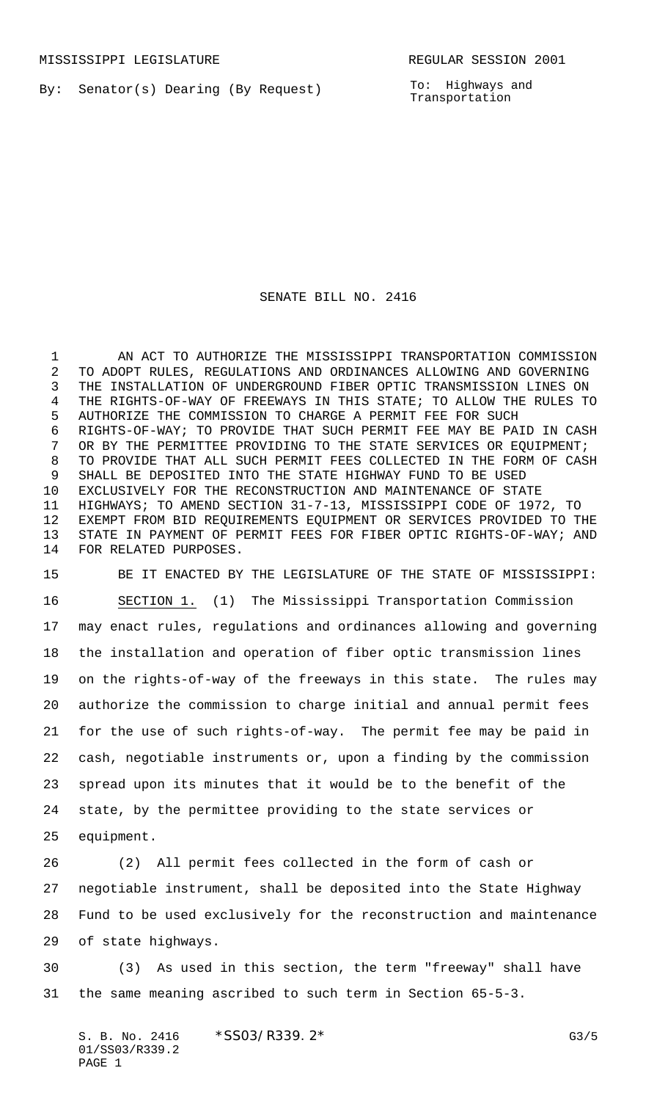By: Senator(s) Dearing (By Request)

To: Highways and Transportation

## SENATE BILL NO. 2416

 AN ACT TO AUTHORIZE THE MISSISSIPPI TRANSPORTATION COMMISSION TO ADOPT RULES, REGULATIONS AND ORDINANCES ALLOWING AND GOVERNING THE INSTALLATION OF UNDERGROUND FIBER OPTIC TRANSMISSION LINES ON THE RIGHTS-OF-WAY OF FREEWAYS IN THIS STATE; TO ALLOW THE RULES TO AUTHORIZE THE COMMISSION TO CHARGE A PERMIT FEE FOR SUCH RIGHTS-OF-WAY; TO PROVIDE THAT SUCH PERMIT FEE MAY BE PAID IN CASH OR BY THE PERMITTEE PROVIDING TO THE STATE SERVICES OR EQUIPMENT; TO PROVIDE THAT ALL SUCH PERMIT FEES COLLECTED IN THE FORM OF CASH SHALL BE DEPOSITED INTO THE STATE HIGHWAY FUND TO BE USED EXCLUSIVELY FOR THE RECONSTRUCTION AND MAINTENANCE OF STATE HIGHWAYS; TO AMEND SECTION 31-7-13, MISSISSIPPI CODE OF 1972, TO EXEMPT FROM BID REQUIREMENTS EQUIPMENT OR SERVICES PROVIDED TO THE STATE IN PAYMENT OF PERMIT FEES FOR FIBER OPTIC RIGHTS-OF-WAY; AND FOR RELATED PURPOSES.

 BE IT ENACTED BY THE LEGISLATURE OF THE STATE OF MISSISSIPPI: SECTION 1. (1) The Mississippi Transportation Commission may enact rules, regulations and ordinances allowing and governing the installation and operation of fiber optic transmission lines on the rights-of-way of the freeways in this state. The rules may authorize the commission to charge initial and annual permit fees for the use of such rights-of-way. The permit fee may be paid in cash, negotiable instruments or, upon a finding by the commission spread upon its minutes that it would be to the benefit of the state, by the permittee providing to the state services or equipment.

 (2) All permit fees collected in the form of cash or negotiable instrument, shall be deposited into the State Highway Fund to be used exclusively for the reconstruction and maintenance of state highways.

 (3) As used in this section, the term "freeway" shall have the same meaning ascribed to such term in Section 65-5-3.

S. B. No. 2416 \* SSO3/R339. 2\* G3/5 01/SS03/R339.2 PAGE 1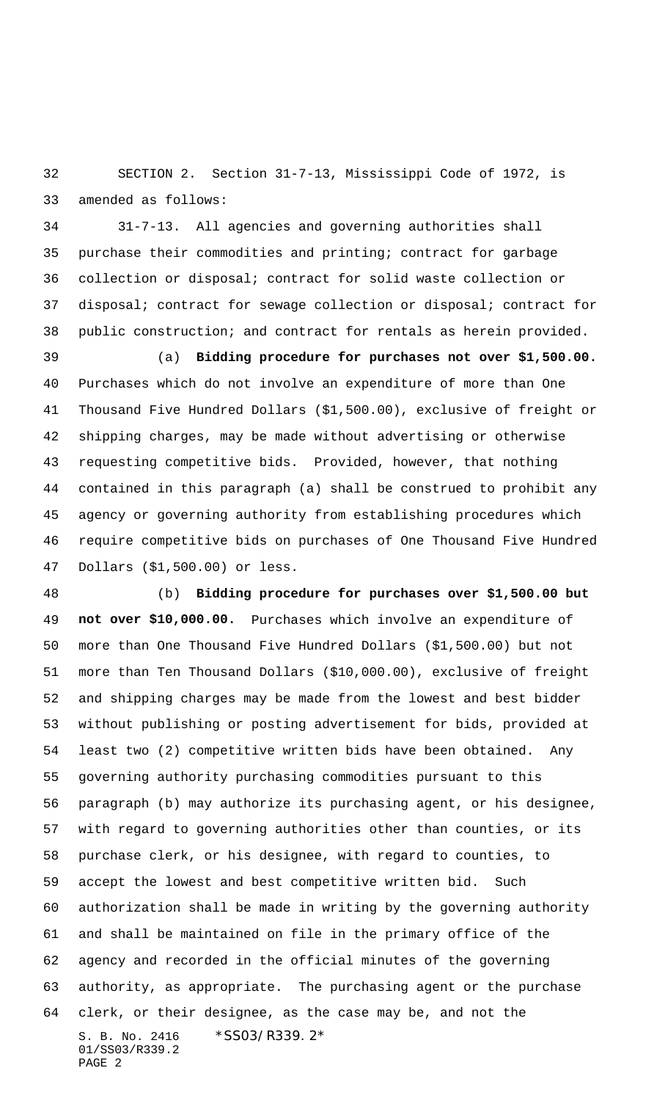SECTION 2. Section 31-7-13, Mississippi Code of 1972, is amended as follows:

 31-7-13. All agencies and governing authorities shall purchase their commodities and printing; contract for garbage collection or disposal; contract for solid waste collection or disposal; contract for sewage collection or disposal; contract for public construction; and contract for rentals as herein provided.

 (a) **Bidding procedure for purchases not over \$1,500.00.** Purchases which do not involve an expenditure of more than One Thousand Five Hundred Dollars (\$1,500.00), exclusive of freight or shipping charges, may be made without advertising or otherwise requesting competitive bids. Provided, however, that nothing contained in this paragraph (a) shall be construed to prohibit any agency or governing authority from establishing procedures which require competitive bids on purchases of One Thousand Five Hundred Dollars (\$1,500.00) or less.

S. B. No. 2416 \*SS03/R339.2\* 01/SS03/R339.2 PAGE 2 (b) **Bidding procedure for purchases over \$1,500.00 but not over \$10,000.00.** Purchases which involve an expenditure of more than One Thousand Five Hundred Dollars (\$1,500.00) but not more than Ten Thousand Dollars (\$10,000.00), exclusive of freight and shipping charges may be made from the lowest and best bidder without publishing or posting advertisement for bids, provided at least two (2) competitive written bids have been obtained. Any governing authority purchasing commodities pursuant to this paragraph (b) may authorize its purchasing agent, or his designee, with regard to governing authorities other than counties, or its purchase clerk, or his designee, with regard to counties, to accept the lowest and best competitive written bid. Such authorization shall be made in writing by the governing authority and shall be maintained on file in the primary office of the agency and recorded in the official minutes of the governing authority, as appropriate. The purchasing agent or the purchase clerk, or their designee, as the case may be, and not the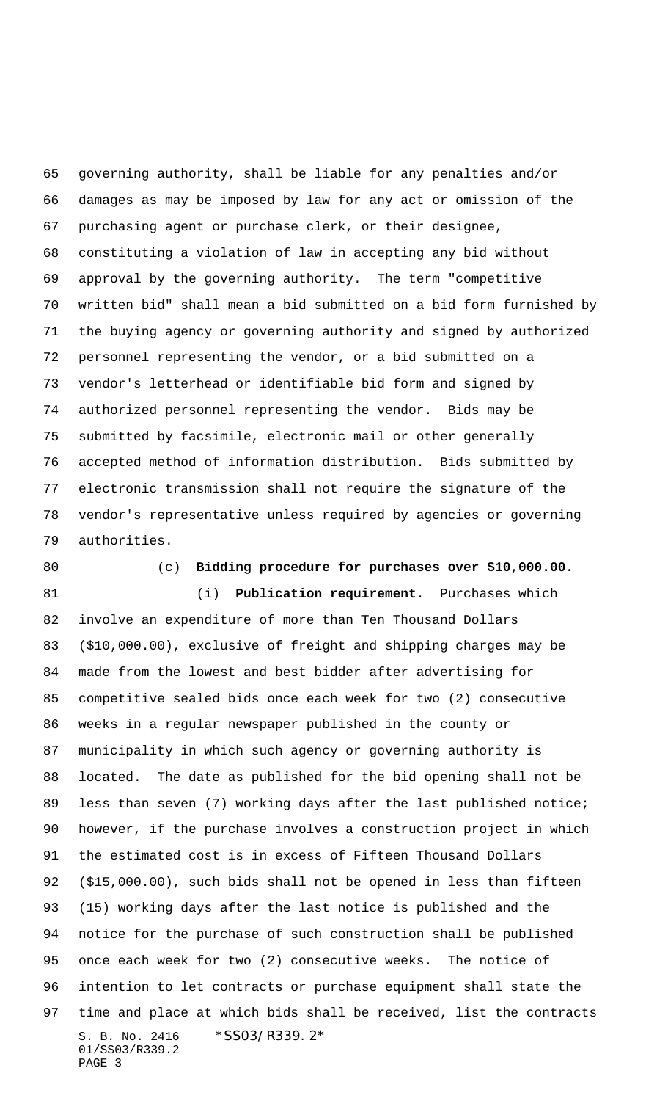governing authority, shall be liable for any penalties and/or damages as may be imposed by law for any act or omission of the purchasing agent or purchase clerk, or their designee, constituting a violation of law in accepting any bid without approval by the governing authority. The term "competitive written bid" shall mean a bid submitted on a bid form furnished by the buying agency or governing authority and signed by authorized personnel representing the vendor, or a bid submitted on a vendor's letterhead or identifiable bid form and signed by authorized personnel representing the vendor. Bids may be submitted by facsimile, electronic mail or other generally accepted method of information distribution. Bids submitted by electronic transmission shall not require the signature of the vendor's representative unless required by agencies or governing authorities.

(c) **Bidding procedure for purchases over \$10,000.00.**

S. B. No. 2416 \*SS03/R339.2\* 01/SS03/R339.2 PAGE 3 (i) **Publication requirement**. Purchases which involve an expenditure of more than Ten Thousand Dollars (\$10,000.00), exclusive of freight and shipping charges may be made from the lowest and best bidder after advertising for competitive sealed bids once each week for two (2) consecutive weeks in a regular newspaper published in the county or municipality in which such agency or governing authority is located. The date as published for the bid opening shall not be 89 less than seven (7) working days after the last published notice; however, if the purchase involves a construction project in which the estimated cost is in excess of Fifteen Thousand Dollars (\$15,000.00), such bids shall not be opened in less than fifteen (15) working days after the last notice is published and the notice for the purchase of such construction shall be published once each week for two (2) consecutive weeks. The notice of intention to let contracts or purchase equipment shall state the time and place at which bids shall be received, list the contracts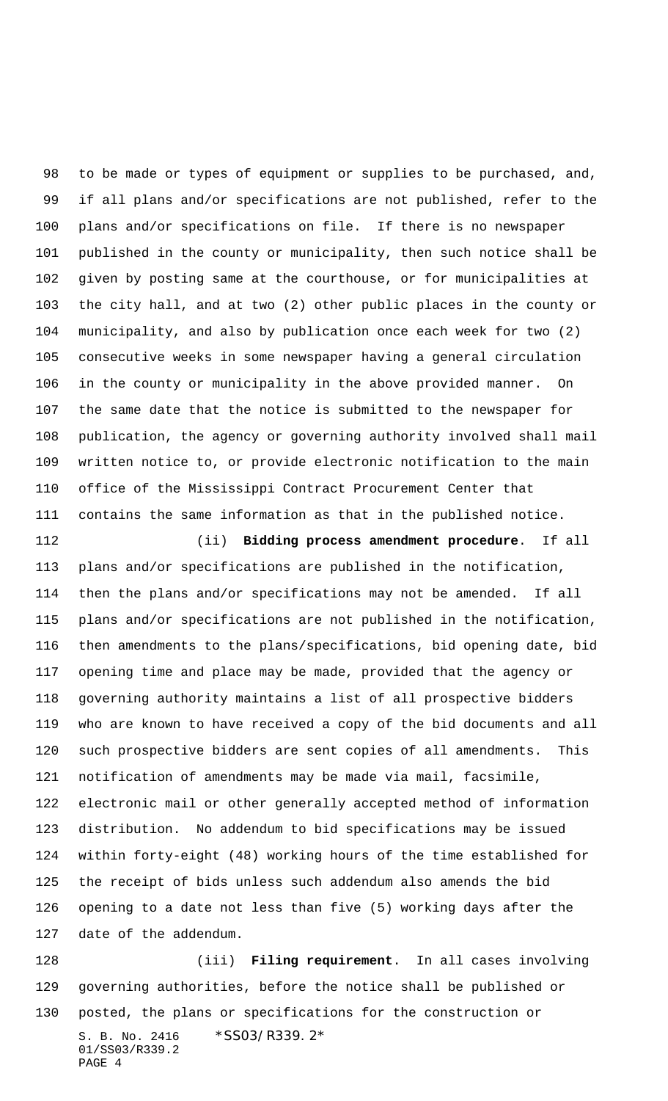to be made or types of equipment or supplies to be purchased, and, if all plans and/or specifications are not published, refer to the plans and/or specifications on file. If there is no newspaper published in the county or municipality, then such notice shall be given by posting same at the courthouse, or for municipalities at the city hall, and at two (2) other public places in the county or municipality, and also by publication once each week for two (2) consecutive weeks in some newspaper having a general circulation in the county or municipality in the above provided manner. On the same date that the notice is submitted to the newspaper for publication, the agency or governing authority involved shall mail written notice to, or provide electronic notification to the main office of the Mississippi Contract Procurement Center that contains the same information as that in the published notice.

 (ii) **Bidding process amendment procedure**. If all plans and/or specifications are published in the notification, then the plans and/or specifications may not be amended. If all plans and/or specifications are not published in the notification, then amendments to the plans/specifications, bid opening date, bid opening time and place may be made, provided that the agency or governing authority maintains a list of all prospective bidders who are known to have received a copy of the bid documents and all such prospective bidders are sent copies of all amendments. This notification of amendments may be made via mail, facsimile, electronic mail or other generally accepted method of information distribution. No addendum to bid specifications may be issued within forty-eight (48) working hours of the time established for the receipt of bids unless such addendum also amends the bid opening to a date not less than five (5) working days after the date of the addendum.

S. B. No. 2416 \*SS03/R339.2\* 01/SS03/R339.2 PAGE 4 (iii) **Filing requirement**. In all cases involving governing authorities, before the notice shall be published or posted, the plans or specifications for the construction or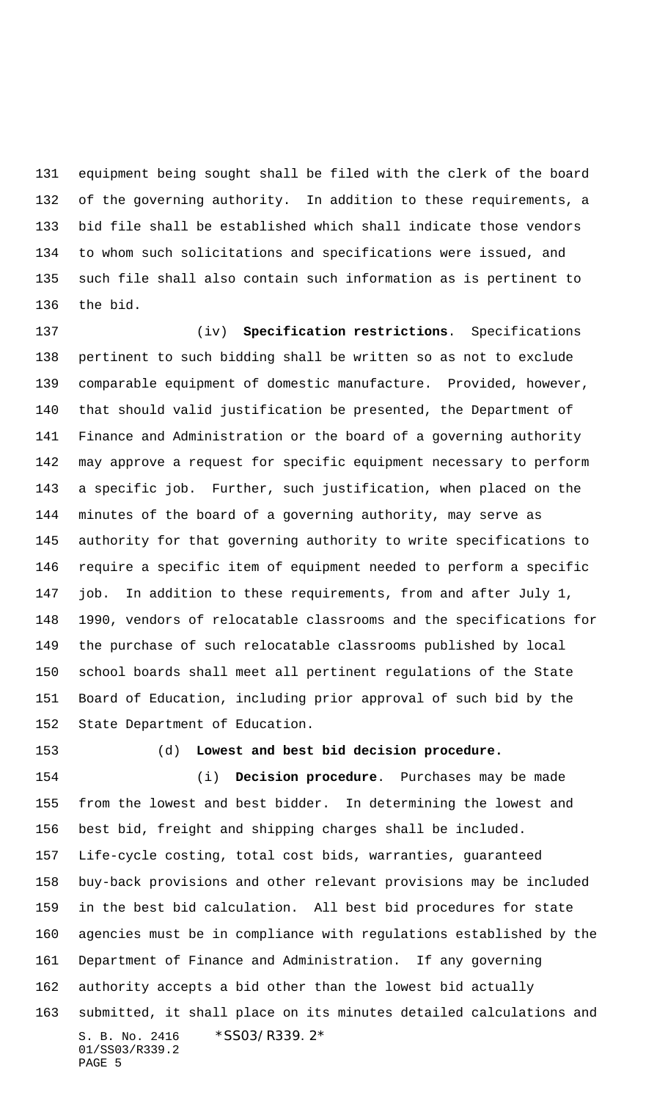equipment being sought shall be filed with the clerk of the board of the governing authority. In addition to these requirements, a bid file shall be established which shall indicate those vendors to whom such solicitations and specifications were issued, and such file shall also contain such information as is pertinent to the bid.

 (iv) **Specification restrictions**. Specifications pertinent to such bidding shall be written so as not to exclude comparable equipment of domestic manufacture. Provided, however, that should valid justification be presented, the Department of Finance and Administration or the board of a governing authority may approve a request for specific equipment necessary to perform a specific job. Further, such justification, when placed on the minutes of the board of a governing authority, may serve as authority for that governing authority to write specifications to require a specific item of equipment needed to perform a specific job. In addition to these requirements, from and after July 1, 1990, vendors of relocatable classrooms and the specifications for the purchase of such relocatable classrooms published by local school boards shall meet all pertinent regulations of the State Board of Education, including prior approval of such bid by the State Department of Education.

## (d) **Lowest and best bid decision procedure.**

S. B. No. 2416 \*SS03/R339.2\* 01/SS03/R339.2 PAGE 5 (i) **Decision procedure**. Purchases may be made from the lowest and best bidder. In determining the lowest and best bid, freight and shipping charges shall be included. Life-cycle costing, total cost bids, warranties, guaranteed buy-back provisions and other relevant provisions may be included in the best bid calculation. All best bid procedures for state agencies must be in compliance with regulations established by the Department of Finance and Administration. If any governing authority accepts a bid other than the lowest bid actually submitted, it shall place on its minutes detailed calculations and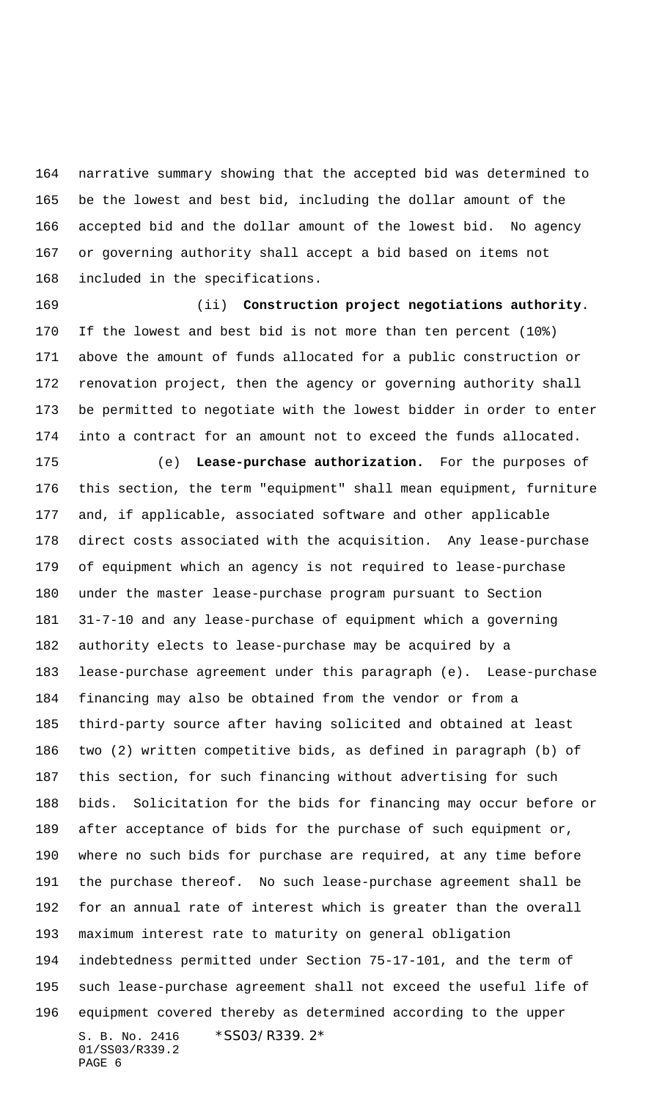narrative summary showing that the accepted bid was determined to be the lowest and best bid, including the dollar amount of the accepted bid and the dollar amount of the lowest bid. No agency or governing authority shall accept a bid based on items not included in the specifications.

 (ii) **Construction project negotiations authority**. If the lowest and best bid is not more than ten percent (10%) above the amount of funds allocated for a public construction or renovation project, then the agency or governing authority shall be permitted to negotiate with the lowest bidder in order to enter into a contract for an amount not to exceed the funds allocated.

S. B. No. 2416 \*SS03/R339.2\* 01/SS03/R339.2 PAGE 6 (e) **Lease-purchase authorization.** For the purposes of this section, the term "equipment" shall mean equipment, furniture and, if applicable, associated software and other applicable direct costs associated with the acquisition. Any lease-purchase of equipment which an agency is not required to lease-purchase under the master lease-purchase program pursuant to Section 31-7-10 and any lease-purchase of equipment which a governing authority elects to lease-purchase may be acquired by a lease-purchase agreement under this paragraph (e). Lease-purchase financing may also be obtained from the vendor or from a third-party source after having solicited and obtained at least two (2) written competitive bids, as defined in paragraph (b) of this section, for such financing without advertising for such bids. Solicitation for the bids for financing may occur before or after acceptance of bids for the purchase of such equipment or, where no such bids for purchase are required, at any time before the purchase thereof. No such lease-purchase agreement shall be for an annual rate of interest which is greater than the overall maximum interest rate to maturity on general obligation indebtedness permitted under Section 75-17-101, and the term of such lease-purchase agreement shall not exceed the useful life of equipment covered thereby as determined according to the upper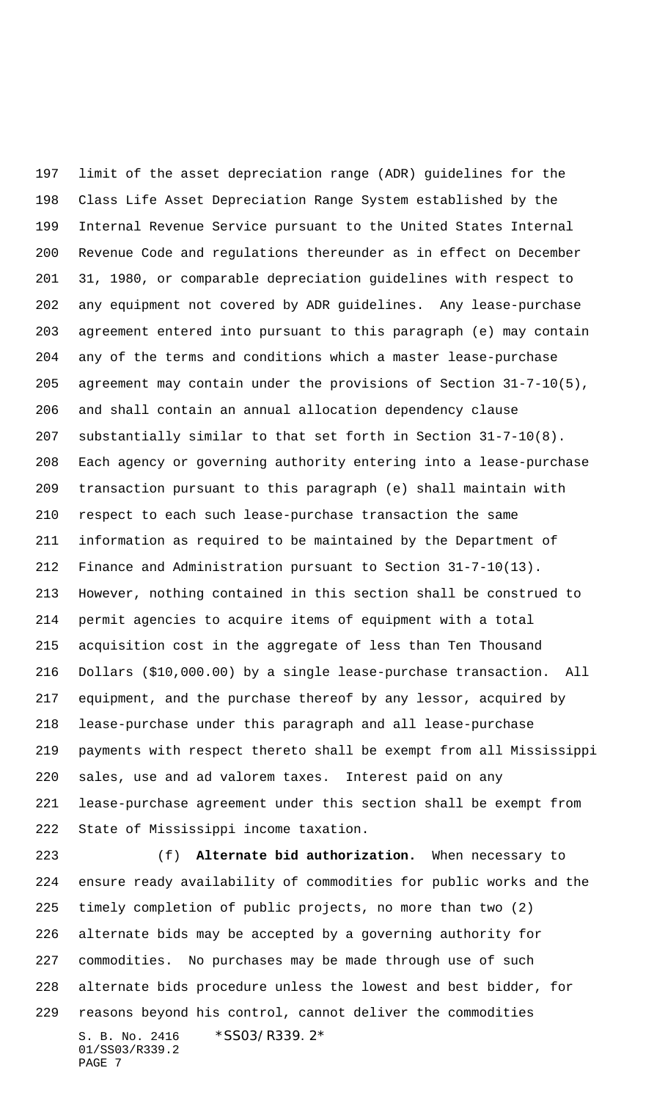limit of the asset depreciation range (ADR) guidelines for the Class Life Asset Depreciation Range System established by the Internal Revenue Service pursuant to the United States Internal Revenue Code and regulations thereunder as in effect on December 31, 1980, or comparable depreciation guidelines with respect to any equipment not covered by ADR guidelines. Any lease-purchase agreement entered into pursuant to this paragraph (e) may contain any of the terms and conditions which a master lease-purchase agreement may contain under the provisions of Section 31-7-10(5), and shall contain an annual allocation dependency clause substantially similar to that set forth in Section 31-7-10(8). Each agency or governing authority entering into a lease-purchase transaction pursuant to this paragraph (e) shall maintain with respect to each such lease-purchase transaction the same information as required to be maintained by the Department of Finance and Administration pursuant to Section 31-7-10(13). However, nothing contained in this section shall be construed to permit agencies to acquire items of equipment with a total acquisition cost in the aggregate of less than Ten Thousand Dollars (\$10,000.00) by a single lease-purchase transaction. All equipment, and the purchase thereof by any lessor, acquired by lease-purchase under this paragraph and all lease-purchase payments with respect thereto shall be exempt from all Mississippi sales, use and ad valorem taxes. Interest paid on any lease-purchase agreement under this section shall be exempt from State of Mississippi income taxation.

S. B. No. 2416 \*SS03/R339.2\* 01/SS03/R339.2 (f) **Alternate bid authorization.** When necessary to ensure ready availability of commodities for public works and the timely completion of public projects, no more than two (2) alternate bids may be accepted by a governing authority for commodities. No purchases may be made through use of such alternate bids procedure unless the lowest and best bidder, for reasons beyond his control, cannot deliver the commodities

PAGE 7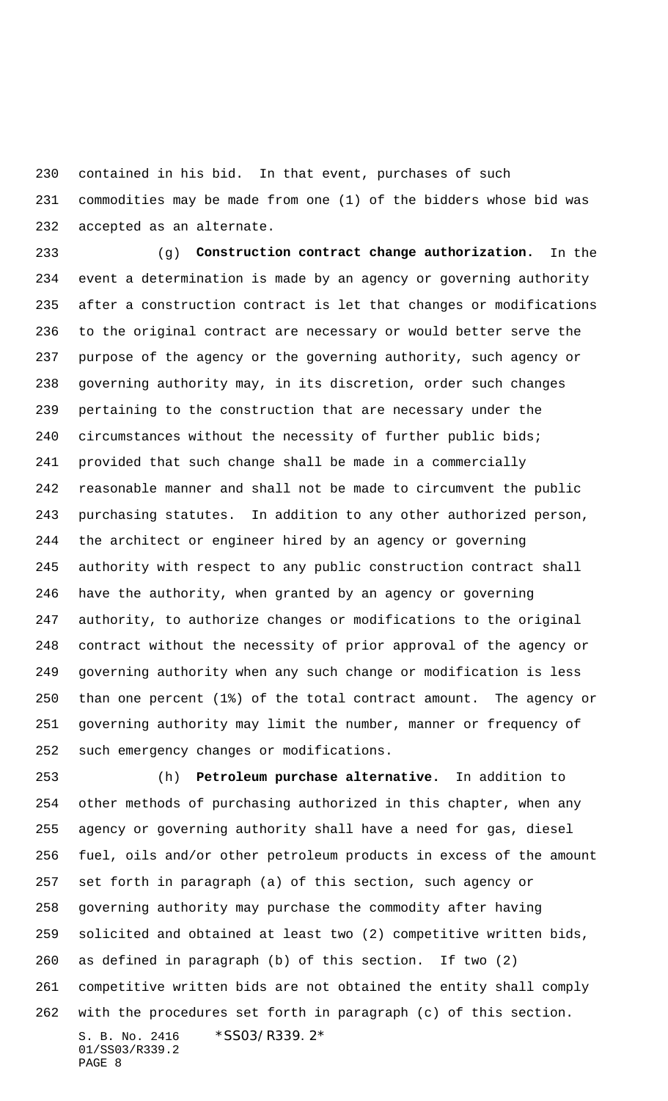contained in his bid. In that event, purchases of such commodities may be made from one (1) of the bidders whose bid was accepted as an alternate.

 (g) **Construction contract change authorization.** In the event a determination is made by an agency or governing authority after a construction contract is let that changes or modifications to the original contract are necessary or would better serve the purpose of the agency or the governing authority, such agency or governing authority may, in its discretion, order such changes pertaining to the construction that are necessary under the circumstances without the necessity of further public bids; provided that such change shall be made in a commercially reasonable manner and shall not be made to circumvent the public purchasing statutes. In addition to any other authorized person, the architect or engineer hired by an agency or governing authority with respect to any public construction contract shall have the authority, when granted by an agency or governing authority, to authorize changes or modifications to the original contract without the necessity of prior approval of the agency or governing authority when any such change or modification is less than one percent (1%) of the total contract amount. The agency or governing authority may limit the number, manner or frequency of such emergency changes or modifications.

S. B. No. 2416 \*SS03/R339.2\* 01/SS03/R339.2 PAGE 8 (h) **Petroleum purchase alternative.** In addition to other methods of purchasing authorized in this chapter, when any agency or governing authority shall have a need for gas, diesel fuel, oils and/or other petroleum products in excess of the amount set forth in paragraph (a) of this section, such agency or governing authority may purchase the commodity after having solicited and obtained at least two (2) competitive written bids, as defined in paragraph (b) of this section. If two (2) competitive written bids are not obtained the entity shall comply with the procedures set forth in paragraph (c) of this section.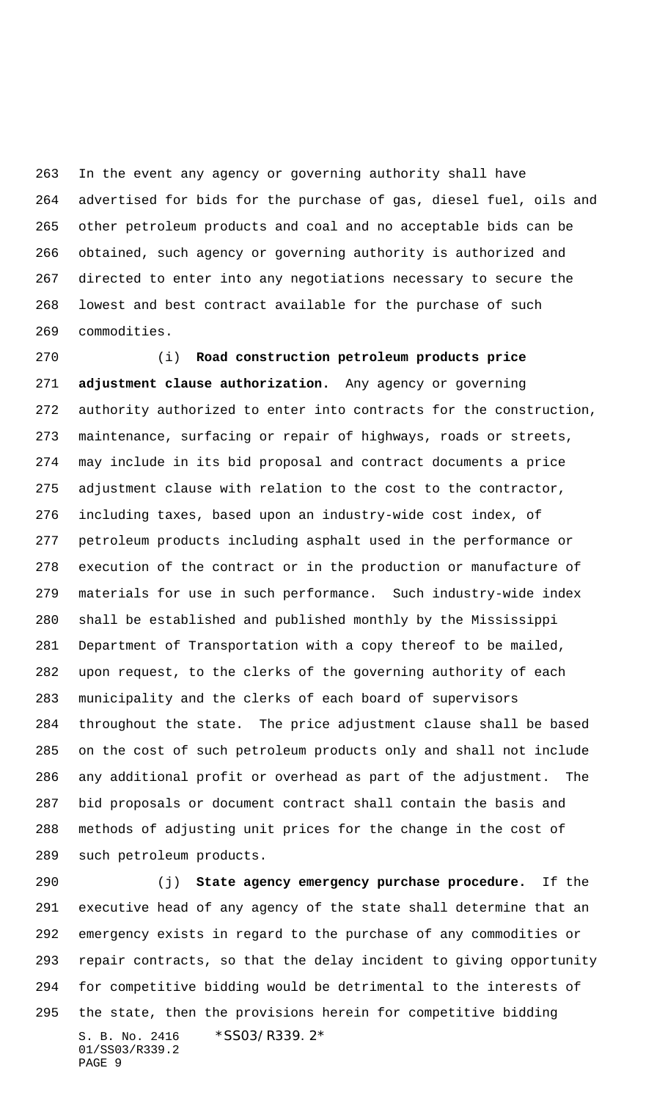In the event any agency or governing authority shall have advertised for bids for the purchase of gas, diesel fuel, oils and other petroleum products and coal and no acceptable bids can be obtained, such agency or governing authority is authorized and directed to enter into any negotiations necessary to secure the lowest and best contract available for the purchase of such commodities.

 (i) **Road construction petroleum products price adjustment clause authorization.** Any agency or governing authority authorized to enter into contracts for the construction, maintenance, surfacing or repair of highways, roads or streets, may include in its bid proposal and contract documents a price adjustment clause with relation to the cost to the contractor, including taxes, based upon an industry-wide cost index, of petroleum products including asphalt used in the performance or execution of the contract or in the production or manufacture of materials for use in such performance. Such industry-wide index shall be established and published monthly by the Mississippi Department of Transportation with a copy thereof to be mailed, upon request, to the clerks of the governing authority of each municipality and the clerks of each board of supervisors throughout the state. The price adjustment clause shall be based on the cost of such petroleum products only and shall not include any additional profit or overhead as part of the adjustment. The bid proposals or document contract shall contain the basis and methods of adjusting unit prices for the change in the cost of such petroleum products.

S. B. No. 2416 \*SS03/R339.2\* 01/SS03/R339.2 PAGE 9 (j) **State agency emergency purchase procedure.** If the executive head of any agency of the state shall determine that an emergency exists in regard to the purchase of any commodities or repair contracts, so that the delay incident to giving opportunity for competitive bidding would be detrimental to the interests of the state, then the provisions herein for competitive bidding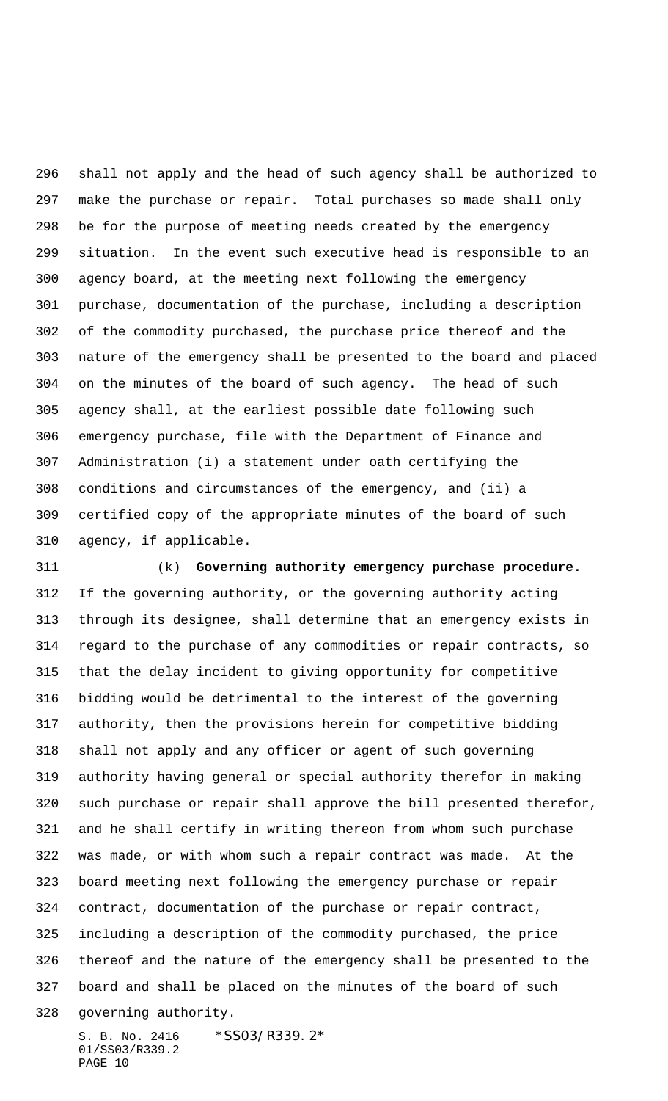shall not apply and the head of such agency shall be authorized to make the purchase or repair. Total purchases so made shall only be for the purpose of meeting needs created by the emergency situation. In the event such executive head is responsible to an agency board, at the meeting next following the emergency purchase, documentation of the purchase, including a description of the commodity purchased, the purchase price thereof and the nature of the emergency shall be presented to the board and placed on the minutes of the board of such agency. The head of such agency shall, at the earliest possible date following such emergency purchase, file with the Department of Finance and Administration (i) a statement under oath certifying the conditions and circumstances of the emergency, and (ii) a certified copy of the appropriate minutes of the board of such agency, if applicable.

 (k) **Governing authority emergency purchase procedure.** If the governing authority, or the governing authority acting through its designee, shall determine that an emergency exists in regard to the purchase of any commodities or repair contracts, so that the delay incident to giving opportunity for competitive bidding would be detrimental to the interest of the governing authority, then the provisions herein for competitive bidding shall not apply and any officer or agent of such governing authority having general or special authority therefor in making such purchase or repair shall approve the bill presented therefor, and he shall certify in writing thereon from whom such purchase was made, or with whom such a repair contract was made. At the board meeting next following the emergency purchase or repair contract, documentation of the purchase or repair contract, including a description of the commodity purchased, the price thereof and the nature of the emergency shall be presented to the board and shall be placed on the minutes of the board of such governing authority.

S. B. No. 2416 \*SS03/R339.2\* 01/SS03/R339.2 PAGE 10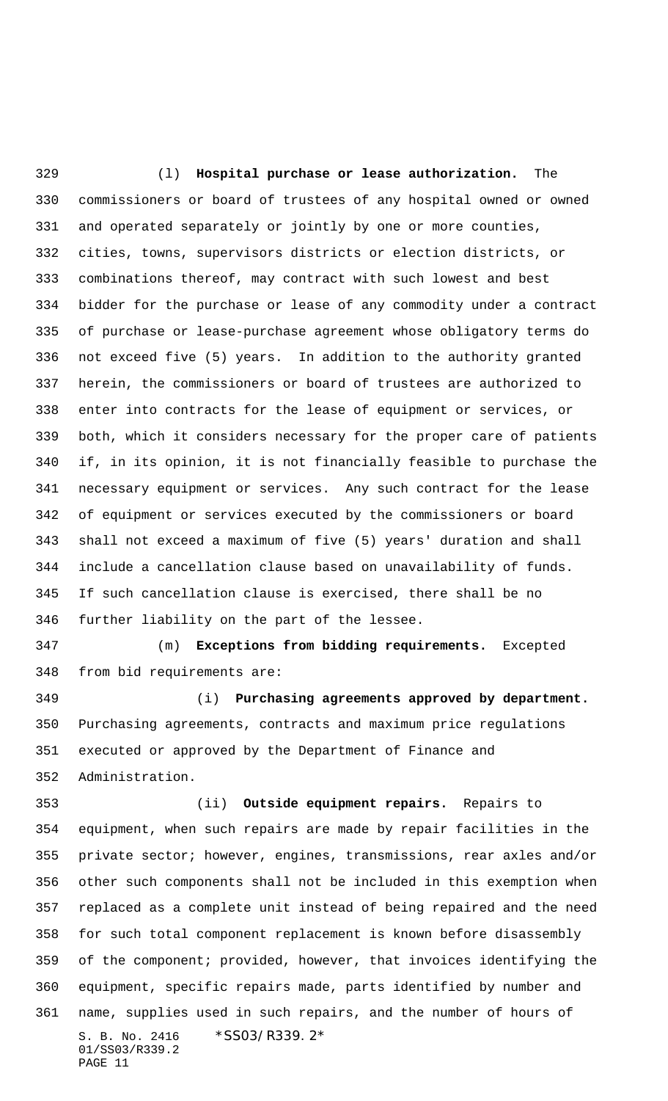(l) **Hospital purchase or lease authorization.** The commissioners or board of trustees of any hospital owned or owned and operated separately or jointly by one or more counties, cities, towns, supervisors districts or election districts, or combinations thereof, may contract with such lowest and best bidder for the purchase or lease of any commodity under a contract of purchase or lease-purchase agreement whose obligatory terms do not exceed five (5) years. In addition to the authority granted herein, the commissioners or board of trustees are authorized to enter into contracts for the lease of equipment or services, or both, which it considers necessary for the proper care of patients if, in its opinion, it is not financially feasible to purchase the necessary equipment or services. Any such contract for the lease of equipment or services executed by the commissioners or board shall not exceed a maximum of five (5) years' duration and shall include a cancellation clause based on unavailability of funds. If such cancellation clause is exercised, there shall be no further liability on the part of the lessee. (m) **Exceptions from bidding requirements.** Excepted from bid requirements are: (i) **Purchasing agreements approved by department.** Purchasing agreements, contracts and maximum price regulations executed or approved by the Department of Finance and Administration. (ii) **Outside equipment repairs.** Repairs to equipment, when such repairs are made by repair facilities in the private sector; however, engines, transmissions, rear axles and/or other such components shall not be included in this exemption when replaced as a complete unit instead of being repaired and the need for such total component replacement is known before disassembly of the component; provided, however, that invoices identifying the equipment, specific repairs made, parts identified by number and name, supplies used in such repairs, and the number of hours of

S. B. No. 2416 \* SS03/R339.2\* 01/SS03/R339.2 PAGE 11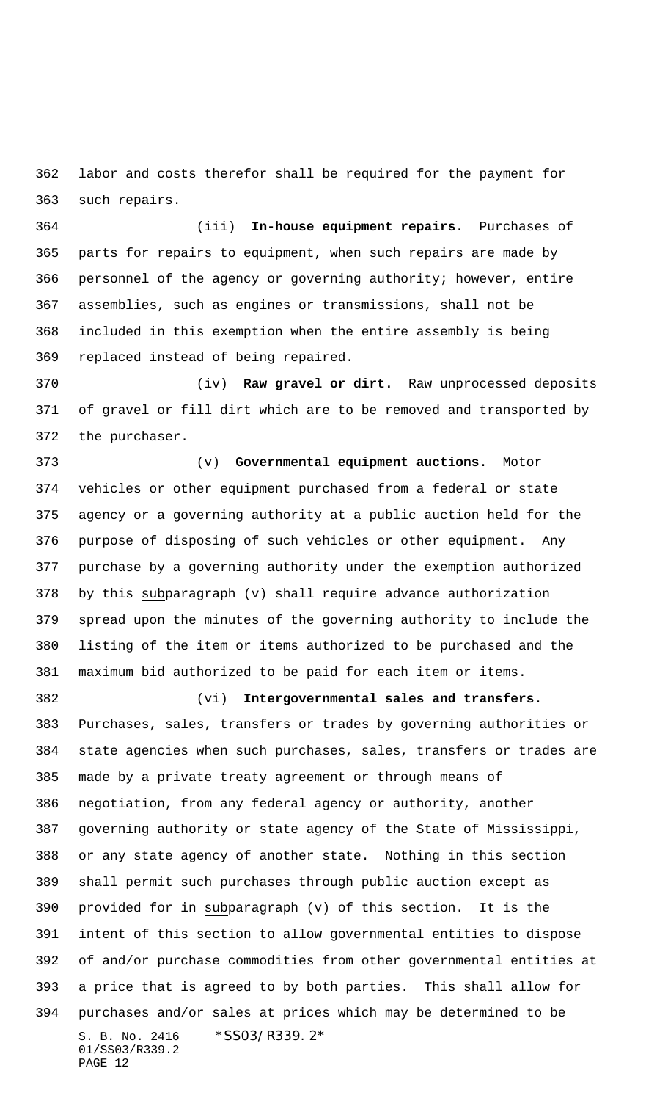labor and costs therefor shall be required for the payment for such repairs.

 (iii) **In-house equipment repairs.** Purchases of parts for repairs to equipment, when such repairs are made by personnel of the agency or governing authority; however, entire assemblies, such as engines or transmissions, shall not be included in this exemption when the entire assembly is being replaced instead of being repaired.

 (iv) **Raw gravel or dirt.** Raw unprocessed deposits of gravel or fill dirt which are to be removed and transported by the purchaser.

 (v) **Governmental equipment auctions.** Motor vehicles or other equipment purchased from a federal or state agency or a governing authority at a public auction held for the purpose of disposing of such vehicles or other equipment. Any purchase by a governing authority under the exemption authorized by this subparagraph (v) shall require advance authorization spread upon the minutes of the governing authority to include the listing of the item or items authorized to be purchased and the maximum bid authorized to be paid for each item or items.

## (vi) **Intergovernmental sales and transfers.**

S. B. No. 2416 \*SS03/R339.2\* 01/SS03/R339.2 PAGE 12 Purchases, sales, transfers or trades by governing authorities or state agencies when such purchases, sales, transfers or trades are made by a private treaty agreement or through means of negotiation, from any federal agency or authority, another governing authority or state agency of the State of Mississippi, or any state agency of another state. Nothing in this section shall permit such purchases through public auction except as provided for in subparagraph (v) of this section. It is the intent of this section to allow governmental entities to dispose of and/or purchase commodities from other governmental entities at a price that is agreed to by both parties. This shall allow for purchases and/or sales at prices which may be determined to be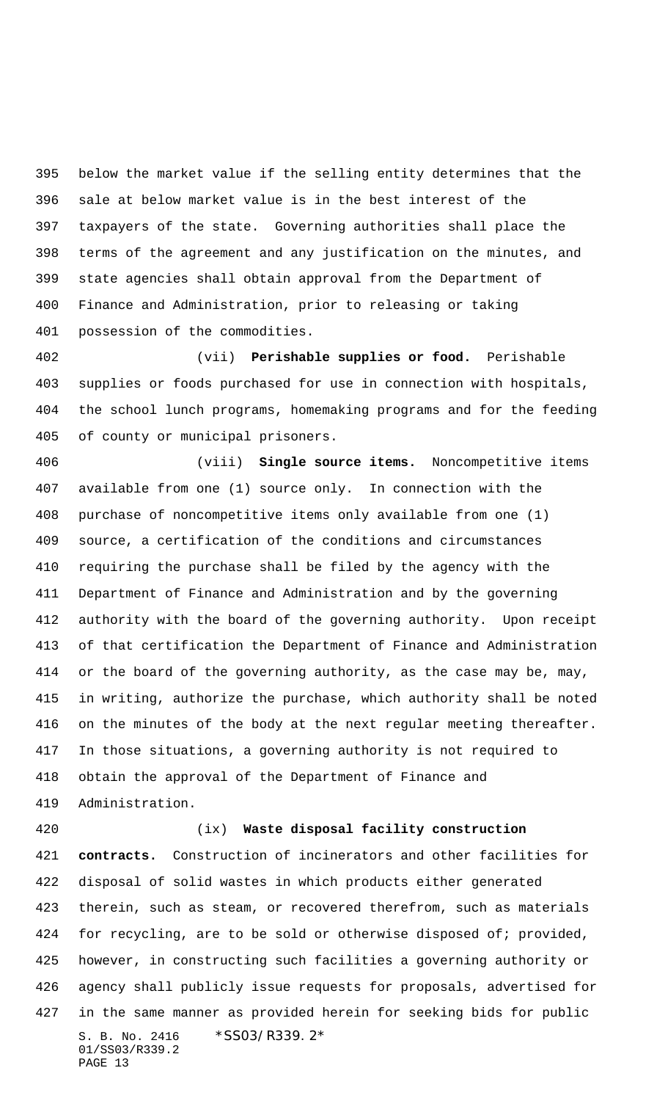below the market value if the selling entity determines that the sale at below market value is in the best interest of the taxpayers of the state. Governing authorities shall place the terms of the agreement and any justification on the minutes, and state agencies shall obtain approval from the Department of Finance and Administration, prior to releasing or taking possession of the commodities.

 (vii) **Perishable supplies or food.** Perishable supplies or foods purchased for use in connection with hospitals, the school lunch programs, homemaking programs and for the feeding of county or municipal prisoners.

 (viii) **Single source items.** Noncompetitive items available from one (1) source only. In connection with the purchase of noncompetitive items only available from one (1) source, a certification of the conditions and circumstances requiring the purchase shall be filed by the agency with the Department of Finance and Administration and by the governing authority with the board of the governing authority. Upon receipt of that certification the Department of Finance and Administration or the board of the governing authority, as the case may be, may, in writing, authorize the purchase, which authority shall be noted on the minutes of the body at the next regular meeting thereafter. In those situations, a governing authority is not required to obtain the approval of the Department of Finance and Administration.

## (ix) **Waste disposal facility construction**

S. B. No. 2416 \*SS03/R339.2\* 01/SS03/R339.2 PAGE 13 **contracts.** Construction of incinerators and other facilities for disposal of solid wastes in which products either generated therein, such as steam, or recovered therefrom, such as materials 424 for recycling, are to be sold or otherwise disposed of; provided, however, in constructing such facilities a governing authority or agency shall publicly issue requests for proposals, advertised for in the same manner as provided herein for seeking bids for public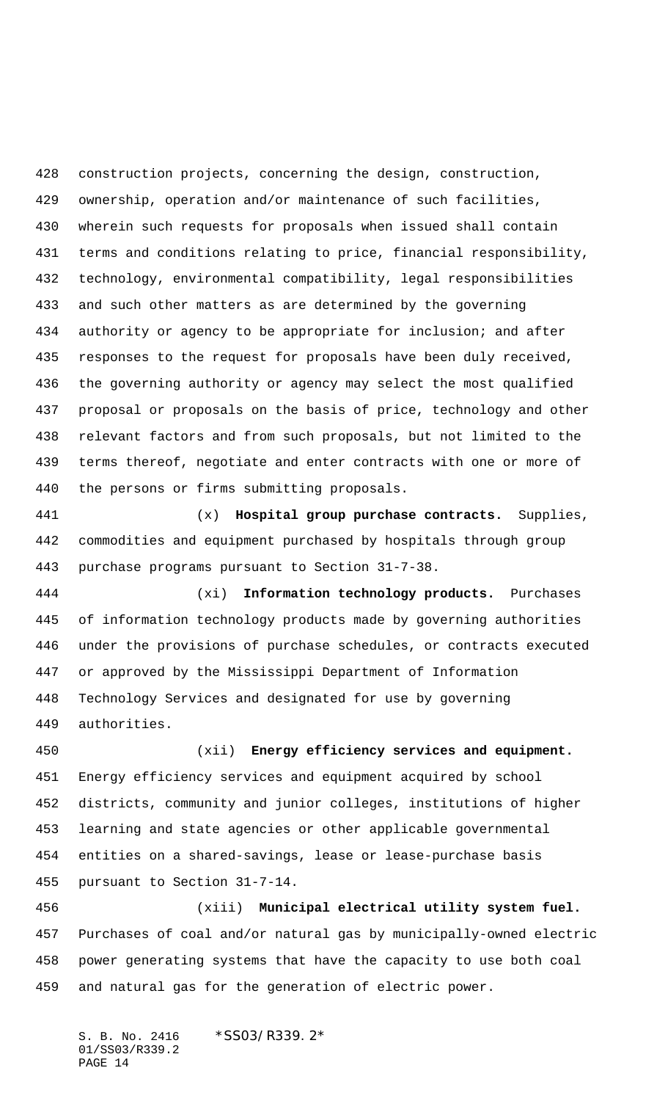construction projects, concerning the design, construction, ownership, operation and/or maintenance of such facilities, wherein such requests for proposals when issued shall contain terms and conditions relating to price, financial responsibility, technology, environmental compatibility, legal responsibilities and such other matters as are determined by the governing authority or agency to be appropriate for inclusion; and after responses to the request for proposals have been duly received, the governing authority or agency may select the most qualified proposal or proposals on the basis of price, technology and other relevant factors and from such proposals, but not limited to the terms thereof, negotiate and enter contracts with one or more of the persons or firms submitting proposals.

 (x) **Hospital group purchase contracts.** Supplies, commodities and equipment purchased by hospitals through group purchase programs pursuant to Section 31-7-38.

 (xi) **Information technology products.** Purchases of information technology products made by governing authorities under the provisions of purchase schedules, or contracts executed or approved by the Mississippi Department of Information Technology Services and designated for use by governing authorities.

 (xii) **Energy efficiency services and equipment.** Energy efficiency services and equipment acquired by school districts, community and junior colleges, institutions of higher learning and state agencies or other applicable governmental entities on a shared-savings, lease or lease-purchase basis pursuant to Section 31-7-14.

 (xiii) **Municipal electrical utility system fuel.** Purchases of coal and/or natural gas by municipally-owned electric power generating systems that have the capacity to use both coal and natural gas for the generation of electric power.

S. B. No. 2416 \* SS03/R339.2\* 01/SS03/R339.2 PAGE 14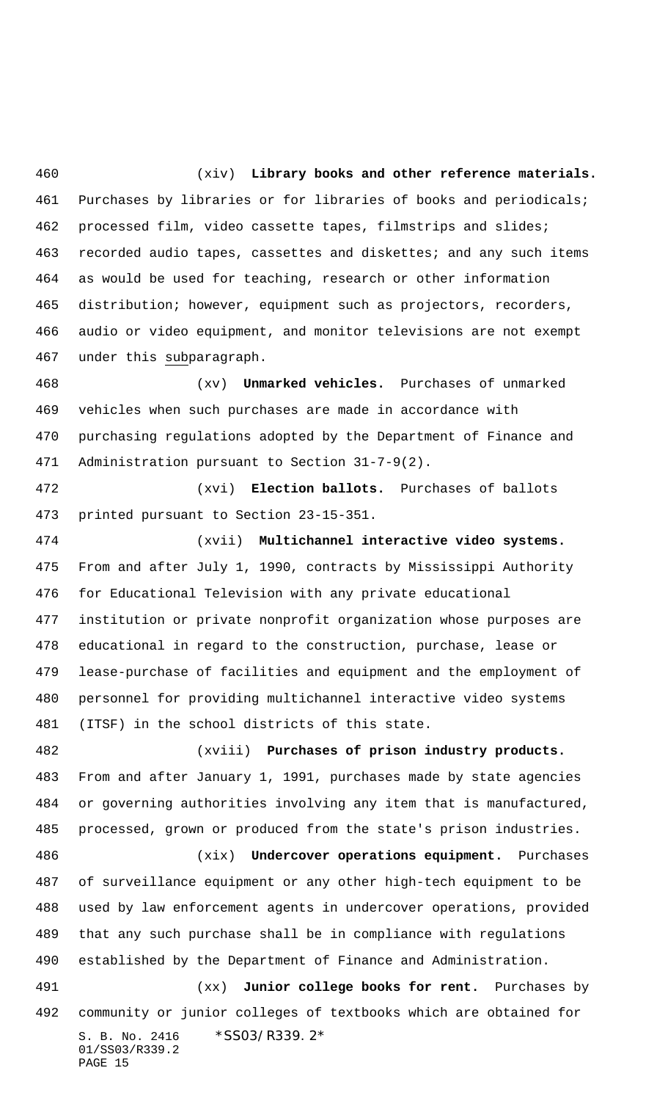(xiv) **Library books and other reference materials.** Purchases by libraries or for libraries of books and periodicals; processed film, video cassette tapes, filmstrips and slides; recorded audio tapes, cassettes and diskettes; and any such items as would be used for teaching, research or other information distribution; however, equipment such as projectors, recorders, audio or video equipment, and monitor televisions are not exempt under this subparagraph.

 (xv) **Unmarked vehicles.** Purchases of unmarked vehicles when such purchases are made in accordance with purchasing regulations adopted by the Department of Finance and Administration pursuant to Section 31-7-9(2).

 (xvi) **Election ballots.** Purchases of ballots printed pursuant to Section 23-15-351.

 (xvii) **Multichannel interactive video systems.** From and after July 1, 1990, contracts by Mississippi Authority for Educational Television with any private educational institution or private nonprofit organization whose purposes are educational in regard to the construction, purchase, lease or lease-purchase of facilities and equipment and the employment of personnel for providing multichannel interactive video systems (ITSF) in the school districts of this state.

 (xviii) **Purchases of prison industry products.** From and after January 1, 1991, purchases made by state agencies or governing authorities involving any item that is manufactured, processed, grown or produced from the state's prison industries.

 (xix) **Undercover operations equipment.** Purchases of surveillance equipment or any other high-tech equipment to be used by law enforcement agents in undercover operations, provided that any such purchase shall be in compliance with regulations established by the Department of Finance and Administration.

S. B. No. 2416 \*SS03/R339.2\* 01/SS03/R339.2 PAGE 15 (xx) **Junior college books for rent.** Purchases by community or junior colleges of textbooks which are obtained for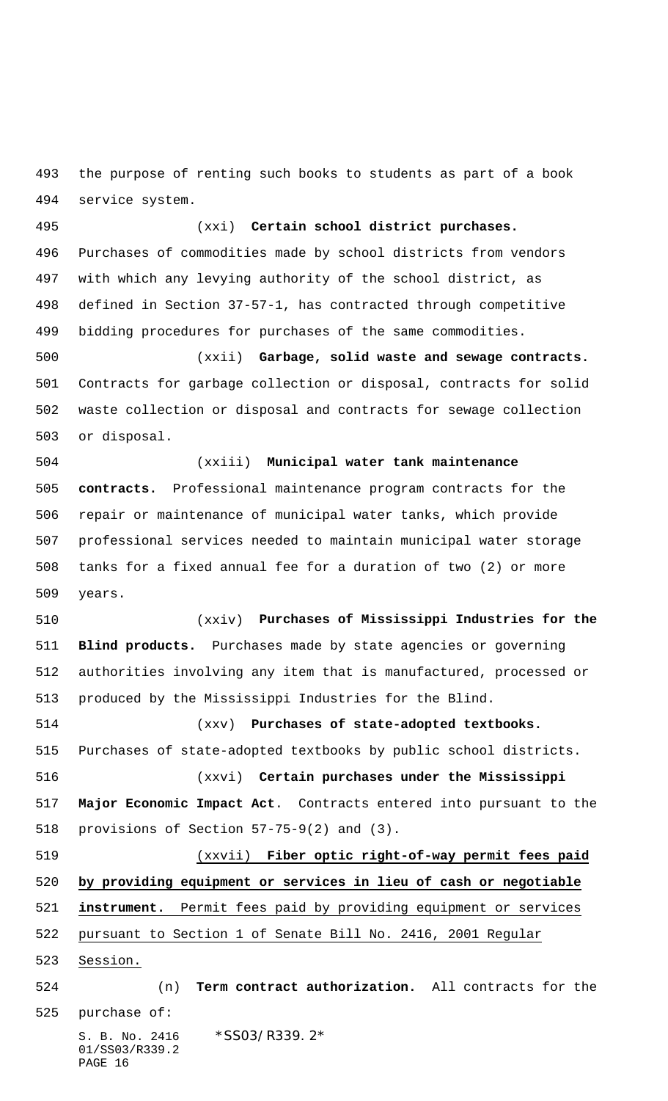the purpose of renting such books to students as part of a book service system.

 (xxi) **Certain school district purchases.** Purchases of commodities made by school districts from vendors with which any levying authority of the school district, as defined in Section 37-57-1, has contracted through competitive bidding procedures for purchases of the same commodities.

 (xxii) **Garbage, solid waste and sewage contracts.** Contracts for garbage collection or disposal, contracts for solid waste collection or disposal and contracts for sewage collection or disposal.

 (xxiii) **Municipal water tank maintenance contracts.** Professional maintenance program contracts for the repair or maintenance of municipal water tanks, which provide professional services needed to maintain municipal water storage tanks for a fixed annual fee for a duration of two (2) or more years.

 (xxiv) **Purchases of Mississippi Industries for the Blind products.** Purchases made by state agencies or governing authorities involving any item that is manufactured, processed or produced by the Mississippi Industries for the Blind.

 (xxv) **Purchases of state-adopted textbooks.** Purchases of state-adopted textbooks by public school districts. (xxvi) **Certain purchases under the Mississippi Major Economic Impact Act**. Contracts entered into pursuant to the provisions of Section 57-75-9(2) and (3).

 (xxvii) **Fiber optic right-of-way permit fees paid by providing equipment or services in lieu of cash or negotiable instrument.** Permit fees paid by providing equipment or services pursuant to Section 1 of Senate Bill No. 2416, 2001 Regular Session.

S. B. No. 2416 \*SS03/R339.2\* (n) **Term contract authorization.** All contracts for the purchase of:

01/SS03/R339.2 PAGE 16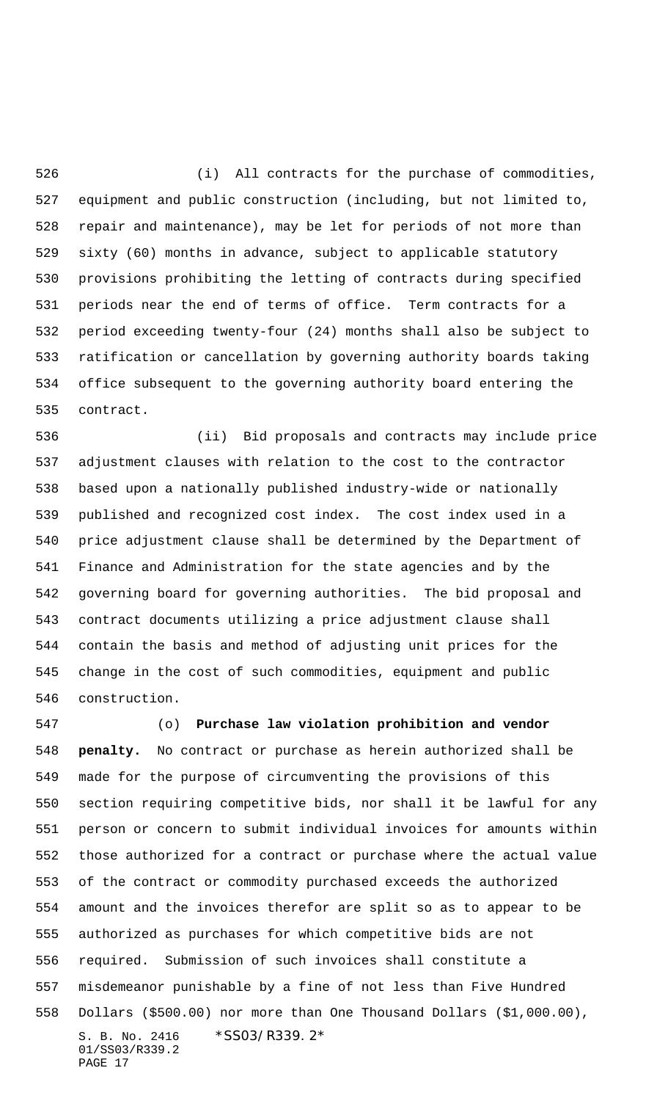(i) All contracts for the purchase of commodities, equipment and public construction (including, but not limited to, repair and maintenance), may be let for periods of not more than sixty (60) months in advance, subject to applicable statutory provisions prohibiting the letting of contracts during specified periods near the end of terms of office. Term contracts for a period exceeding twenty-four (24) months shall also be subject to ratification or cancellation by governing authority boards taking office subsequent to the governing authority board entering the contract.

 (ii) Bid proposals and contracts may include price adjustment clauses with relation to the cost to the contractor based upon a nationally published industry-wide or nationally published and recognized cost index. The cost index used in a price adjustment clause shall be determined by the Department of Finance and Administration for the state agencies and by the governing board for governing authorities. The bid proposal and contract documents utilizing a price adjustment clause shall contain the basis and method of adjusting unit prices for the change in the cost of such commodities, equipment and public construction.

S. B. No. 2416 \*SS03/R339.2\* 01/SS03/R339.2 PAGE 17 (o) **Purchase law violation prohibition and vendor penalty.** No contract or purchase as herein authorized shall be made for the purpose of circumventing the provisions of this section requiring competitive bids, nor shall it be lawful for any person or concern to submit individual invoices for amounts within those authorized for a contract or purchase where the actual value of the contract or commodity purchased exceeds the authorized amount and the invoices therefor are split so as to appear to be authorized as purchases for which competitive bids are not required. Submission of such invoices shall constitute a misdemeanor punishable by a fine of not less than Five Hundred Dollars (\$500.00) nor more than One Thousand Dollars (\$1,000.00),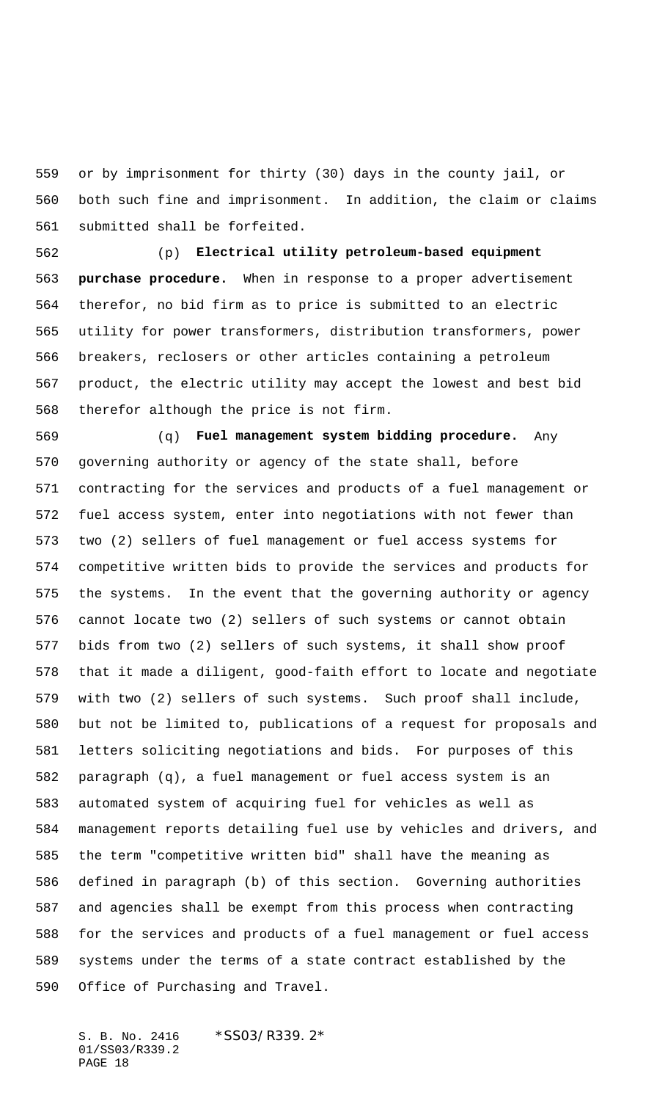or by imprisonment for thirty (30) days in the county jail, or both such fine and imprisonment. In addition, the claim or claims submitted shall be forfeited.

 (p) **Electrical utility petroleum-based equipment purchase procedure.** When in response to a proper advertisement therefor, no bid firm as to price is submitted to an electric utility for power transformers, distribution transformers, power breakers, reclosers or other articles containing a petroleum product, the electric utility may accept the lowest and best bid therefor although the price is not firm.

 (q) **Fuel management system bidding procedure.** Any governing authority or agency of the state shall, before contracting for the services and products of a fuel management or fuel access system, enter into negotiations with not fewer than two (2) sellers of fuel management or fuel access systems for competitive written bids to provide the services and products for the systems. In the event that the governing authority or agency cannot locate two (2) sellers of such systems or cannot obtain bids from two (2) sellers of such systems, it shall show proof that it made a diligent, good-faith effort to locate and negotiate with two (2) sellers of such systems. Such proof shall include, but not be limited to, publications of a request for proposals and letters soliciting negotiations and bids. For purposes of this paragraph (q), a fuel management or fuel access system is an automated system of acquiring fuel for vehicles as well as management reports detailing fuel use by vehicles and drivers, and the term "competitive written bid" shall have the meaning as defined in paragraph (b) of this section. Governing authorities and agencies shall be exempt from this process when contracting for the services and products of a fuel management or fuel access systems under the terms of a state contract established by the Office of Purchasing and Travel.

S. B. No. 2416 \* SS03/R339.2\* 01/SS03/R339.2 PAGE 18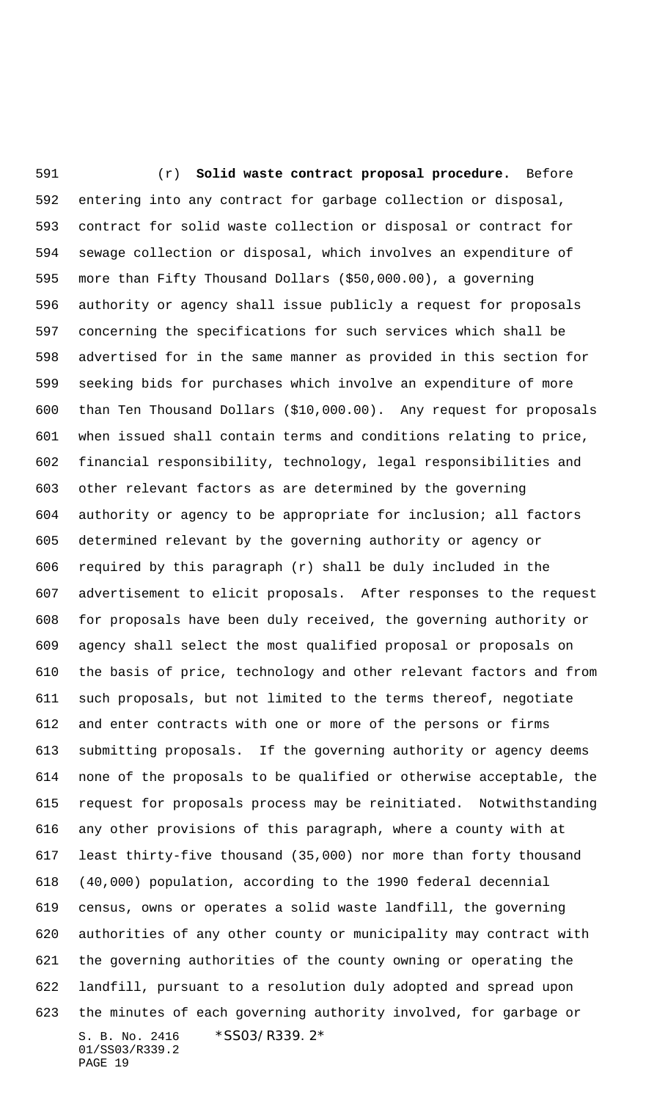S. B. No. 2416 \*SS03/R339.2\* 01/SS03/R339.2 PAGE 19 (r) **Solid waste contract proposal procedure.** Before entering into any contract for garbage collection or disposal, contract for solid waste collection or disposal or contract for sewage collection or disposal, which involves an expenditure of more than Fifty Thousand Dollars (\$50,000.00), a governing authority or agency shall issue publicly a request for proposals concerning the specifications for such services which shall be advertised for in the same manner as provided in this section for seeking bids for purchases which involve an expenditure of more than Ten Thousand Dollars (\$10,000.00). Any request for proposals when issued shall contain terms and conditions relating to price, financial responsibility, technology, legal responsibilities and other relevant factors as are determined by the governing authority or agency to be appropriate for inclusion; all factors determined relevant by the governing authority or agency or required by this paragraph (r) shall be duly included in the advertisement to elicit proposals. After responses to the request for proposals have been duly received, the governing authority or agency shall select the most qualified proposal or proposals on the basis of price, technology and other relevant factors and from such proposals, but not limited to the terms thereof, negotiate and enter contracts with one or more of the persons or firms submitting proposals. If the governing authority or agency deems none of the proposals to be qualified or otherwise acceptable, the request for proposals process may be reinitiated. Notwithstanding any other provisions of this paragraph, where a county with at least thirty-five thousand (35,000) nor more than forty thousand (40,000) population, according to the 1990 federal decennial census, owns or operates a solid waste landfill, the governing authorities of any other county or municipality may contract with the governing authorities of the county owning or operating the landfill, pursuant to a resolution duly adopted and spread upon the minutes of each governing authority involved, for garbage or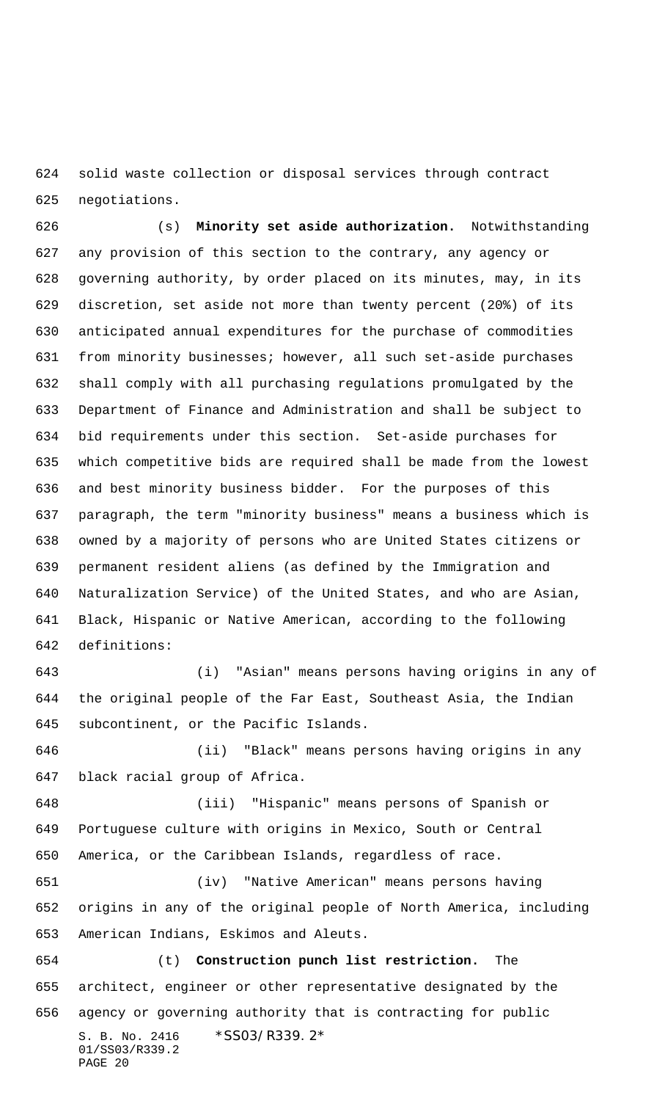solid waste collection or disposal services through contract negotiations.

 (s) **Minority set aside authorization.** Notwithstanding any provision of this section to the contrary, any agency or governing authority, by order placed on its minutes, may, in its discretion, set aside not more than twenty percent (20%) of its anticipated annual expenditures for the purchase of commodities from minority businesses; however, all such set-aside purchases shall comply with all purchasing regulations promulgated by the Department of Finance and Administration and shall be subject to bid requirements under this section. Set-aside purchases for which competitive bids are required shall be made from the lowest and best minority business bidder. For the purposes of this paragraph, the term "minority business" means a business which is owned by a majority of persons who are United States citizens or permanent resident aliens (as defined by the Immigration and Naturalization Service) of the United States, and who are Asian, Black, Hispanic or Native American, according to the following definitions:

 (i) "Asian" means persons having origins in any of the original people of the Far East, Southeast Asia, the Indian subcontinent, or the Pacific Islands.

 (ii) "Black" means persons having origins in any black racial group of Africa.

 (iii) "Hispanic" means persons of Spanish or Portuguese culture with origins in Mexico, South or Central America, or the Caribbean Islands, regardless of race.

 (iv) "Native American" means persons having origins in any of the original people of North America, including American Indians, Eskimos and Aleuts.

S. B. No. 2416 \* SS03/R339.2\* 01/SS03/R339.2 PAGE 20 (t) **Construction punch list restriction.** The architect, engineer or other representative designated by the agency or governing authority that is contracting for public